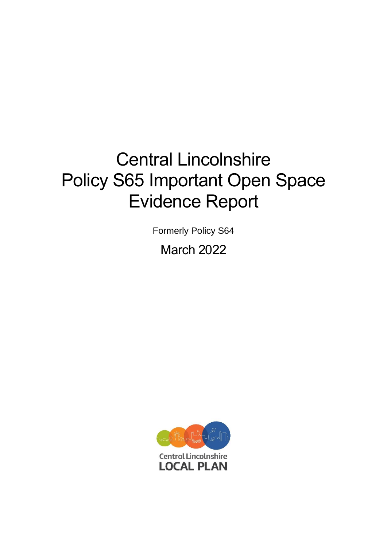# Central Lincolnshire Policy S65 Important Open Space Evidence Report

Formerly Policy S64

March 2022

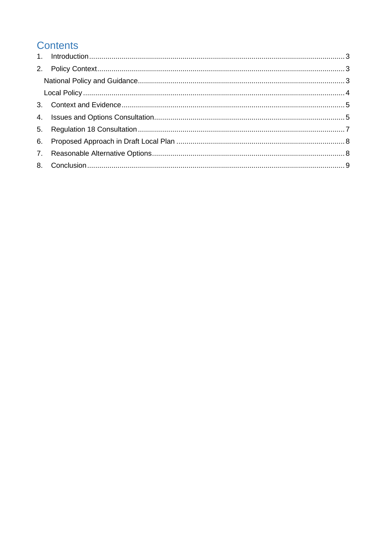## **Contents**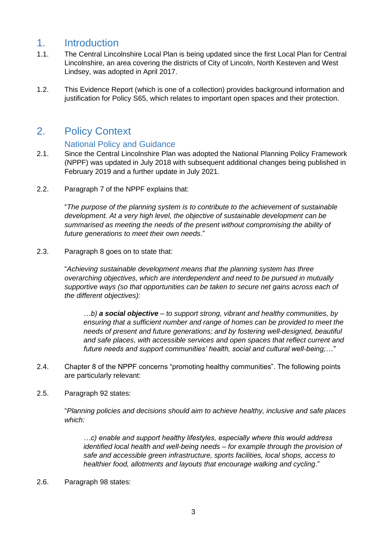#### <span id="page-2-0"></span>1. Introduction

- 1.1. The Central Lincolnshire Local Plan is being updated since the first Local Plan for Central Lincolnshire, an area covering the districts of City of Lincoln, North Kesteven and West Lindsey, was adopted in April 2017.
- 1.2. This Evidence Report (which is one of a collection) provides background information and justification for Policy S65, which relates to important open spaces and their protection.

#### <span id="page-2-1"></span>2. Policy Context

#### National Policy and Guidance

- <span id="page-2-2"></span>2.1. Since the Central Lincolnshire Plan was adopted the National Planning Policy Framework (NPPF) was updated in July 2018 with subsequent additional changes being published in February 2019 and a further update in July 2021.
- 2.2. Paragraph 7 of the NPPF explains that:

"*The purpose of the planning system is to contribute to the achievement of sustainable development. At a very high level, the objective of sustainable development can be summarised as meeting the needs of the present without compromising the ability of future generations to meet their own needs*."

2.3. Paragraph 8 goes on to state that:

"*Achieving sustainable development means that the planning system has three overarching objectives, which are interdependent and need to be pursued in mutually supportive ways (so that opportunities can be taken to secure net gains across each of the different objectives):*

*…b) a social objective – to support strong, vibrant and healthy communities, by ensuring that a sufficient number and range of homes can be provided to meet the needs of present and future generations; and by fostering well-designed, beautiful and safe places, with accessible services and open spaces that reflect current and future needs and support communities' health, social and cultural well-being;…"*

- 2.4. Chapter 8 of the NPPF concerns "promoting healthy communities". The following points are particularly relevant:
- 2.5. Paragraph 92 states:

"*Planning policies and decisions should aim to achieve healthy, inclusive and safe places which:*

*…c) enable and support healthy lifestyles, especially where this would address identified local health and well-being needs – for example through the provision of safe and accessible green infrastructure, sports facilities, local shops, access to healthier food, allotments and layouts that encourage walking and cycling*."

2.6. Paragraph 98 states: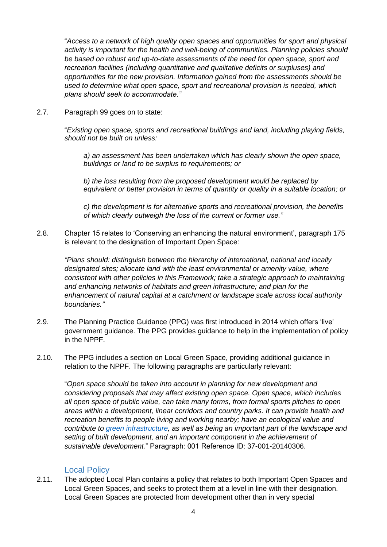"*Access to a network of high quality open spaces and opportunities for sport and physical activity is important for the health and well-being of communities. Planning policies should be based on robust and up-to-date assessments of the need for open space, sport and recreation facilities (including quantitative and qualitative deficits or surpluses) and opportunities for the new provision. Information gained from the assessments should be used to determine what open space, sport and recreational provision is needed, which plans should seek to accommodate."*

2.7. Paragraph 99 goes on to state:

"*Existing open space, sports and recreational buildings and land, including playing fields, should not be built on unless:*

*a) an assessment has been undertaken which has clearly shown the open space, buildings or land to be surplus to requirements; or*

*b) the loss resulting from the proposed development would be replaced by equivalent or better provision in terms of quantity or quality in a suitable location; or*

*c) the development is for alternative sports and recreational provision, the benefits of which clearly outweigh the loss of the current or former use."*

2.8. Chapter 15 relates to 'Conserving an enhancing the natural environment', paragraph 175 is relevant to the designation of Important Open Space:

*"Plans should: distinguish between the hierarchy of international, national and locally designated sites; allocate land with the least environmental or amenity value, where consistent with other policies in this Framework; take a strategic approach to maintaining and enhancing networks of habitats and green infrastructure; and plan for the enhancement of natural capital at a catchment or landscape scale across local authority boundaries."*

- 2.9. The Planning Practice Guidance (PPG) was first introduced in 2014 which offers 'live' government guidance. The PPG provides guidance to help in the implementation of policy in the NPPF.
- 2.10. The PPG includes a section on Local Green Space, providing additional guidance in relation to the NPPF. The following paragraphs are particularly relevant:

"*Open space should be taken into account in planning for new development and considering proposals that may affect existing open space. Open space, which includes all open space of public value, can take many forms, from formal sports pitches to open areas within a development, linear corridors and country parks. It can provide health and recreation benefits to people living and working nearby; have an ecological value and contribute to [green infrastructure,](https://www.gov.uk/guidance/natural-environment#Green-Infrastructure) as well as being an important part of the landscape and setting of built development, and an important component in the achievement of sustainable development.*" Paragraph: 001 Reference ID: 37-001-20140306.

#### Local Policy

<span id="page-3-0"></span>2.11. The adopted Local Plan contains a policy that relates to both Important Open Spaces and Local Green Spaces, and seeks to protect them at a level in line with their designation. Local Green Spaces are protected from development other than in very special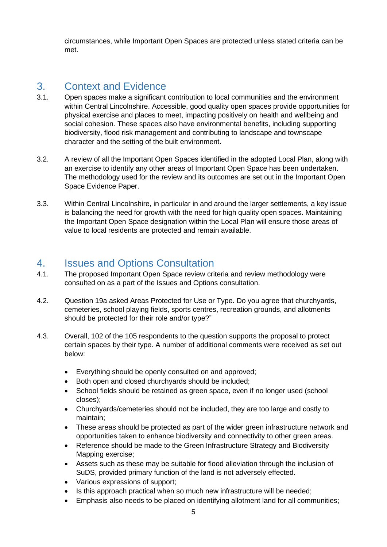circumstances, while Important Open Spaces are protected unless stated criteria can be met.

## <span id="page-4-0"></span>3. Context and Evidence

- 3.1. Open spaces make a significant contribution to local communities and the environment within Central Lincolnshire. Accessible, good quality open spaces provide opportunities for physical exercise and places to meet, impacting positively on health and wellbeing and social cohesion. These spaces also have environmental benefits, including supporting biodiversity, flood risk management and contributing to landscape and townscape character and the setting of the built environment.
- 3.2. A review of all the Important Open Spaces identified in the adopted Local Plan, along with an exercise to identify any other areas of Important Open Space has been undertaken. The methodology used for the review and its outcomes are set out in the Important Open Space Evidence Paper.
- 3.3. Within Central Lincolnshire, in particular in and around the larger settlements, a key issue is balancing the need for growth with the need for high quality open spaces. Maintaining the Important Open Space designation within the Local Plan will ensure those areas of value to local residents are protected and remain available.

#### <span id="page-4-1"></span>4. Issues and Options Consultation

- 4.1. The proposed Important Open Space review criteria and review methodology were consulted on as a part of the Issues and Options consultation.
- 4.2. Question 19a asked Areas Protected for Use or Type. Do you agree that churchyards, cemeteries, school playing fields, sports centres, recreation grounds, and allotments should be protected for their role and/or type?"
- 4.3. Overall, 102 of the 105 respondents to the question supports the proposal to protect certain spaces by their type. A number of additional comments were received as set out below:
	- Everything should be openly consulted on and approved;
	- Both open and closed churchyards should be included;
	- School fields should be retained as green space, even if no longer used (school closes);
	- Churchyards/cemeteries should not be included, they are too large and costly to maintain;
	- These areas should be protected as part of the wider green infrastructure network and opportunities taken to enhance biodiversity and connectivity to other green areas.
	- Reference should be made to the Green Infrastructure Strategy and Biodiversity Mapping exercise;
	- Assets such as these may be suitable for flood alleviation through the inclusion of SuDS, provided primary function of the land is not adversely effected.
	- Various expressions of support;
	- Is this approach practical when so much new infrastructure will be needed;
	- Emphasis also needs to be placed on identifying allotment land for all communities;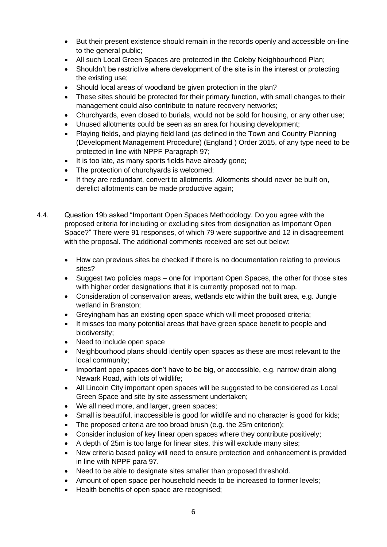- But their present existence should remain in the records openly and accessible on-line to the general public;
- All such Local Green Spaces are protected in the Coleby Neighbourhood Plan;
- Shouldn't be restrictive where development of the site is in the interest or protecting the existing use;
- Should local areas of woodland be given protection in the plan?
- These sites should be protected for their primary function, with small changes to their management could also contribute to nature recovery networks;
- Churchyards, even closed to burials, would not be sold for housing, or any other use;
- Unused allotments could be seen as an area for housing development;
- Playing fields, and playing field land (as defined in the Town and Country Planning (Development Management Procedure) (England ) Order 2015, of any type need to be protected in line with NPPF Paragraph 97;
- It is too late, as many sports fields have already gone;
- The protection of churchyards is welcomed:
- If they are redundant, convert to allotments. Allotments should never be built on, derelict allotments can be made productive again;
- 4.4. Question 19b asked "Important Open Spaces Methodology. Do you agree with the proposed criteria for including or excluding sites from designation as Important Open Space?" There were 91 responses, of which 79 were supportive and 12 in disagreement with the proposal. The additional comments received are set out below:
	- How can previous sites be checked if there is no documentation relating to previous sites?
	- Suggest two policies maps one for Important Open Spaces, the other for those sites with higher order designations that it is currently proposed not to map.
	- Consideration of conservation areas, wetlands etc within the built area, e.g. Jungle wetland in Branston;
	- Greyingham has an existing open space which will meet proposed criteria;
	- It misses too many potential areas that have green space benefit to people and biodiversity;
	- Need to include open space
	- Neighbourhood plans should identify open spaces as these are most relevant to the local community;
	- Important open spaces don't have to be big, or accessible, e.g. narrow drain along Newark Road, with lots of wildlife;
	- All Lincoln City important open spaces will be suggested to be considered as Local Green Space and site by site assessment undertaken;
	- We all need more, and larger, green spaces;
	- Small is beautiful, inaccessible is good for wildlife and no character is good for kids;
	- The proposed criteria are too broad brush (e.g. the 25m criterion);
	- Consider inclusion of key linear open spaces where they contribute positively;
	- A depth of 25m is too large for linear sites, this will exclude many sites;
	- New criteria based policy will need to ensure protection and enhancement is provided in line with NPPF para 97.
	- Need to be able to designate sites smaller than proposed threshold.
	- Amount of open space per household needs to be increased to former levels;
	- Health benefits of open space are recognised;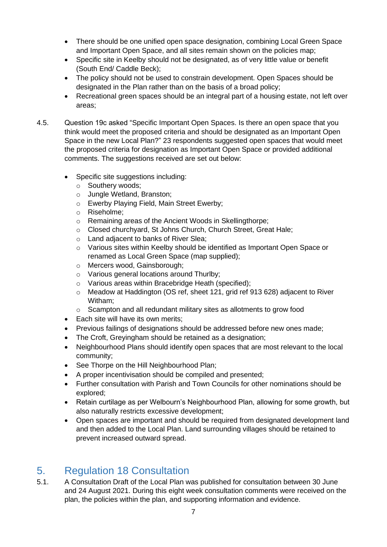- There should be one unified open space designation, combining Local Green Space and Important Open Space, and all sites remain shown on the policies map;
- Specific site in Keelby should not be designated, as of very little value or benefit (South End/ Caddle Beck);
- The policy should not be used to constrain development. Open Spaces should be designated in the Plan rather than on the basis of a broad policy;
- Recreational green spaces should be an integral part of a housing estate, not left over areas;
- 4.5. Question 19c asked "Specific Important Open Spaces. Is there an open space that you think would meet the proposed criteria and should be designated as an Important Open Space in the new Local Plan?" 23 respondents suggested open spaces that would meet the proposed criteria for designation as Important Open Space or provided additional comments. The suggestions received are set out below:
	- Specific site suggestions including:
		- o Southery woods;
		- o Jungle Wetland, Branston;
		- o Ewerby Playing Field, Main Street Ewerby;
		- o Riseholme;
		- o Remaining areas of the Ancient Woods in Skellingthorpe;
		- o Closed churchyard, St Johns Church, Church Street, Great Hale;
		- o Land adjacent to banks of River Slea;
		- o Various sites within Keelby should be identified as Important Open Space or renamed as Local Green Space (map supplied);
		- o Mercers wood, Gainsborough;
		- o Various general locations around Thurlby;
		- o Various areas within Bracebridge Heath (specified);
		- o Meadow at Haddington (OS ref, sheet 121, grid ref 913 628) adjacent to River Witham;
		- o Scampton and all redundant military sites as allotments to grow food
	- Each site will have its own merits:
	- Previous failings of designations should be addressed before new ones made;
	- The Croft, Greyingham should be retained as a designation;
	- Neighbourhood Plans should identify open spaces that are most relevant to the local community;
	- See Thorpe on the Hill Neighbourhood Plan;
	- A proper incentivisation should be compiled and presented;
	- Further consultation with Parish and Town Councils for other nominations should be explored;
	- Retain curtilage as per Welbourn's Neighbourhood Plan, allowing for some growth, but also naturally restricts excessive development;
	- Open spaces are important and should be required from designated development land and then added to the Local Plan. Land surrounding villages should be retained to prevent increased outward spread.

### <span id="page-6-0"></span>5. Regulation 18 Consultation

5.1. A Consultation Draft of the Local Plan was published for consultation between 30 June and 24 August 2021. During this eight week consultation comments were received on the plan, the policies within the plan, and supporting information and evidence.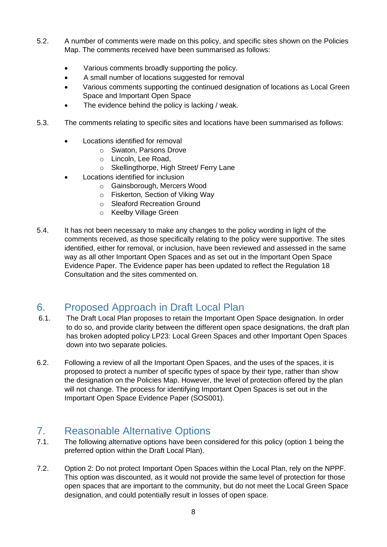- 5.2. A number of comments were made on this policy, and specific sites shown on the Policies Map. The comments received have been summarised as follows:
	- Various comments broadly supporting the policy.
	- A small number of locations suggested for removal
	- Various comments supporting the continued designation of locations as Local Green Space and Important Open Space
	- The evidence behind the policy is lacking / weak.
- 5.3. The comments relating to specific sites and locations have been summarised as follows:
	- Locations identified for removal
		- o Swaton, Parsons Drove
		- o Lincoln, Lee Road,
		- o Skellingthorpe, High Street/ Ferry Lane
	- Locations identified for inclusion
		- o Gainsborough, Mercers Wood
		- o Fiskerton, Section of Viking Way
		- o Sleaford Recreation Ground
		- o Keelby Village Green
- 5.4. It has not been necessary to make any changes to the policy wording in light of the comments received, as those specifically relating to the policy were supportive. The sites identified, either for removal, or inclusion, have been reviewed and assessed in the same way as all other Important Open Spaces and as set out in the Important Open Space Evidence Paper. The Evidence paper has been updated to reflect the Regulation 18 Consultation and the sites commented on.

### <span id="page-7-0"></span>6. Proposed Approach in Draft Local Plan

- 6.1. The Draft Local Plan proposes to retain the Important Open Space designation. In order to do so, and provide clarity between the different open space designations, the draft plan has broken adopted policy LP23: Local Green Spaces and other Important Open Spaces down into two separate policies.
- 6.2. Following a review of all the Important Open Spaces, and the uses of the spaces, it is proposed to protect a number of specific types of space by their type, rather than show the designation on the Policies Map. However, the level of protection offered by the plan will not change. The process for identifying Important Open Spaces is set out in the Important Open Space Evidence Paper (SOS001).

### <span id="page-7-1"></span>7. Reasonable Alternative Options

- 7.1. The following alternative options have been considered for this policy (option 1 being the preferred option within the Draft Local Plan).
- 7.2. Option 2: Do not protect Important Open Spaces within the Local Plan, rely on the NPPF. This option was discounted, as it would not provide the same level of protection for those open spaces that are important to the community, but do not meet the Local Green Space designation, and could potentially result in losses of open space.